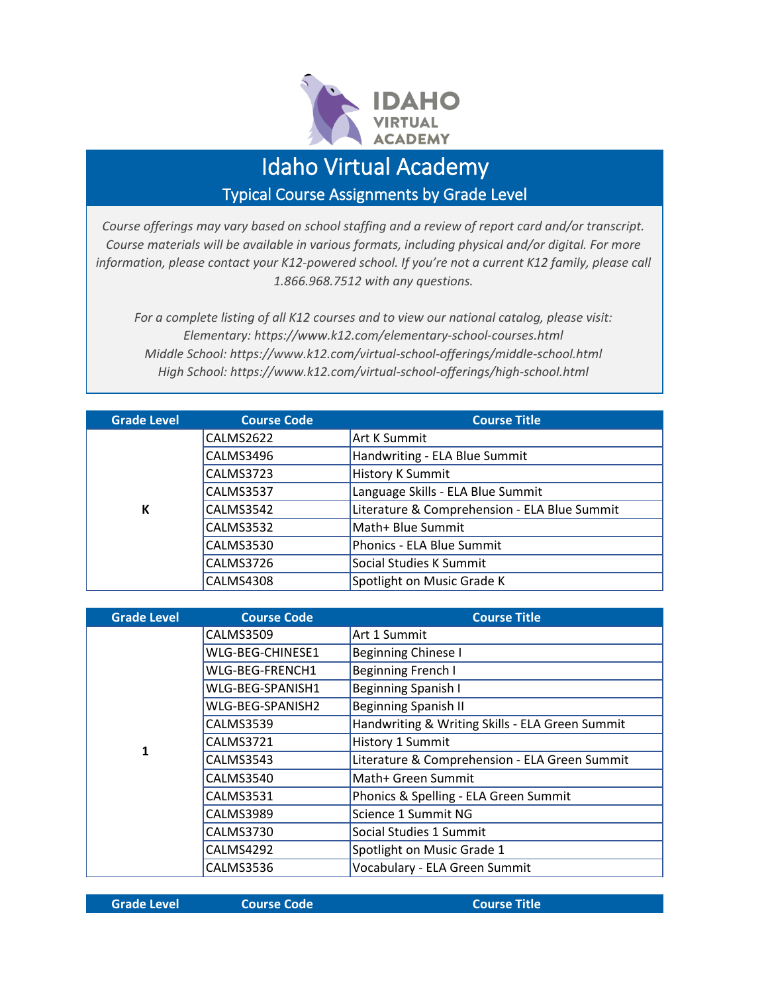

## Idaho Virtual Academy

Typical Course Assignments by Grade Level

*Course offerings may vary based on school staffing and a review of report card and/or transcript. Course materials will be available in various formats, including physical and/or digital. For more information, please contact your K12-powered school. If you're not a current K12 family, please call 1.866.968.7512 with any questions.*

*For a complete listing of all K12 courses and to view our national catalog, please visit: Elementary: https://www.k12.com/elementary-school-courses.html Middle School: https://www.k12.com/virtual-school-offerings/middle-school.html High School: https://www.k12.com/virtual-school-offerings/high-school.html*

| <b>Grade Level</b> | <b>Course Code</b> | <b>Course Title</b>                          |
|--------------------|--------------------|----------------------------------------------|
|                    | CALMS2622          | <b>Art K Summit</b>                          |
|                    | CALMS3496          | Handwriting - ELA Blue Summit                |
|                    | <b>CALMS3723</b>   | <b>History K Summit</b>                      |
|                    | <b>CALMS3537</b>   | Language Skills - ELA Blue Summit            |
| К                  | CALMS3542          | Literature & Comprehension - ELA Blue Summit |
|                    | <b>CALMS3532</b>   | Math+ Blue Summit                            |
|                    | CALMS3530          | Phonics - ELA Blue Summit                    |
|                    | CALMS3726          | Social Studies K Summit                      |
|                    | CALMS4308          | Spotlight on Music Grade K                   |

| <b>Grade Level</b> | <b>Course Code</b> | <b>Course Title</b>                             |
|--------------------|--------------------|-------------------------------------------------|
|                    | <b>CALMS3509</b>   | Art 1 Summit                                    |
|                    | WLG-BEG-CHINESE1   | Beginning Chinese I                             |
|                    | WLG-BEG-FRENCH1    | <b>Beginning French I</b>                       |
|                    | WLG-BEG-SPANISH1   | Beginning Spanish I                             |
|                    | WLG-BEG-SPANISH2   | <b>Beginning Spanish II</b>                     |
|                    | <b>CALMS3539</b>   | Handwriting & Writing Skills - ELA Green Summit |
| $\mathbf{1}$       | CALMS3721          | History 1 Summit                                |
|                    | CALMS3543          | Literature & Comprehension - ELA Green Summit   |
|                    | CALMS3540          | Math+ Green Summit                              |
|                    | <b>CALMS3531</b>   | Phonics & Spelling - ELA Green Summit           |
|                    | <b>CALMS3989</b>   | Science 1 Summit NG                             |
|                    | CALMS3730          | Social Studies 1 Summit                         |
|                    | CALMS4292          | Spotlight on Music Grade 1                      |
|                    | CALMS3536          | Vocabulary - ELA Green Summit                   |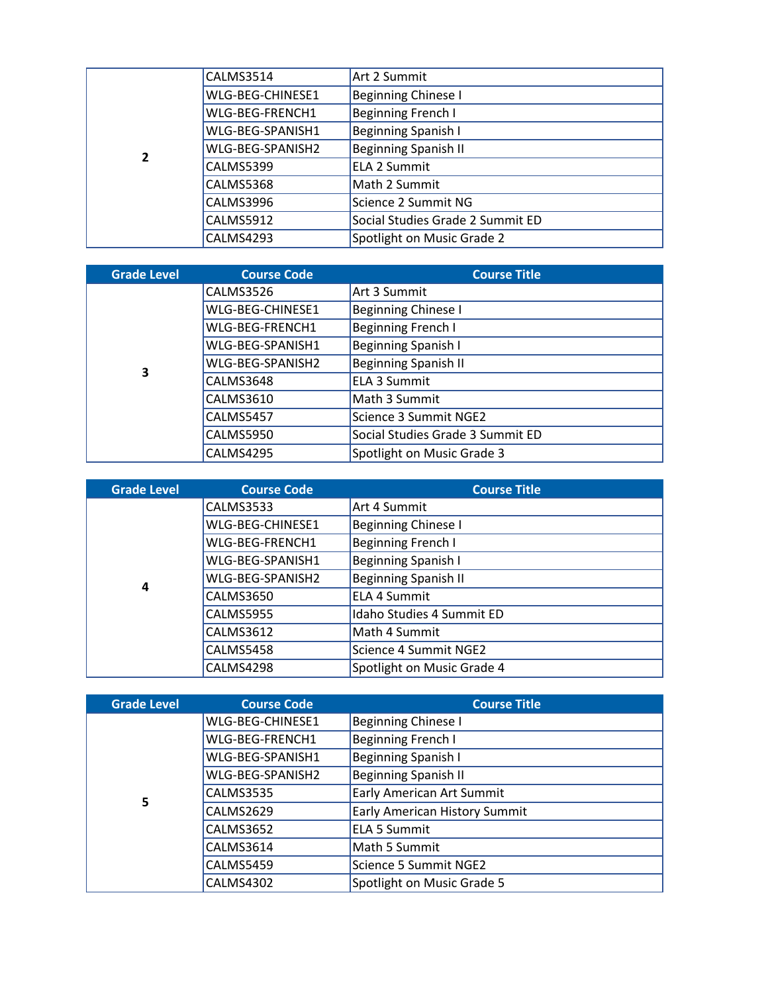|   | CALMS3514        | Art 2 Summit                     |
|---|------------------|----------------------------------|
|   | WLG-BEG-CHINESE1 | <b>Beginning Chinese I</b>       |
|   | WLG-BEG-FRENCH1  | Beginning French I               |
|   | WLG-BEG-SPANISH1 | Beginning Spanish I              |
| 2 | WLG-BEG-SPANISH2 | <b>Beginning Spanish II</b>      |
|   | <b>CALMS5399</b> | <b>ELA 2 Summit</b>              |
|   | CALMS5368        | Math 2 Summit                    |
|   | CALMS3996        | Science 2 Summit NG              |
|   | CALMS5912        | Social Studies Grade 2 Summit ED |
|   | CALMS4293        | Spotlight on Music Grade 2       |

| <b>Grade Level</b> | <b>Course Code</b> | <b>Course Title</b>              |
|--------------------|--------------------|----------------------------------|
|                    | CALMS3526          | Art 3 Summit                     |
|                    | WLG-BEG-CHINESE1   | <b>Beginning Chinese I</b>       |
|                    | WLG-BEG-FRENCH1    | <b>Beginning French I</b>        |
|                    | WLG-BEG-SPANISH1   | Beginning Spanish I              |
| 3                  | WLG-BEG-SPANISH2   | <b>Beginning Spanish II</b>      |
|                    | CALMS3648          | ELA 3 Summit                     |
|                    | <b>CALMS3610</b>   | Math 3 Summit                    |
|                    | CALMS5457          | Science 3 Summit NGE2            |
|                    | <b>CALMS5950</b>   | Social Studies Grade 3 Summit ED |
|                    | CALMS4295          | Spotlight on Music Grade 3       |

| <b>Grade Level</b> | <b>Course Code</b> | <b>Course Title</b>         |
|--------------------|--------------------|-----------------------------|
|                    | <b>CALMS3533</b>   | Art 4 Summit                |
|                    | WLG-BEG-CHINESE1   | <b>Beginning Chinese I</b>  |
|                    | WLG-BEG-FRENCH1    | Beginning French I          |
|                    | WLG-BEG-SPANISH1   | Beginning Spanish I         |
| 4                  | WLG-BEG-SPANISH2   | <b>Beginning Spanish II</b> |
|                    | <b>CALMS3650</b>   | <b>ELA 4 Summit</b>         |
|                    | <b>CALMS5955</b>   | Idaho Studies 4 Summit ED   |
|                    | <b>CALMS3612</b>   | Math 4 Summit               |
|                    | <b>CALMS5458</b>   | Science 4 Summit NGE2       |
|                    | CALMS4298          | Spotlight on Music Grade 4  |

| <b>Grade Level</b> | <b>Course Code</b> | <b>Course Title</b>                  |
|--------------------|--------------------|--------------------------------------|
|                    | WLG-BEG-CHINESE1   | Beginning Chinese I                  |
|                    | WLG-BEG-FRENCH1    | Beginning French I                   |
|                    | WLG-BEG-SPANISH1   | Beginning Spanish I                  |
|                    | WLG-BEG-SPANISH2   | <b>Beginning Spanish II</b>          |
| 5                  | <b>CALMS3535</b>   | Early American Art Summit            |
|                    | CALMS2629          | <b>Early American History Summit</b> |
|                    | <b>CALMS3652</b>   | <b>ELA 5 Summit</b>                  |
|                    | CALMS3614          | Math 5 Summit                        |
|                    | CALMS5459          | Science 5 Summit NGE2                |
|                    | CALMS4302          | Spotlight on Music Grade 5           |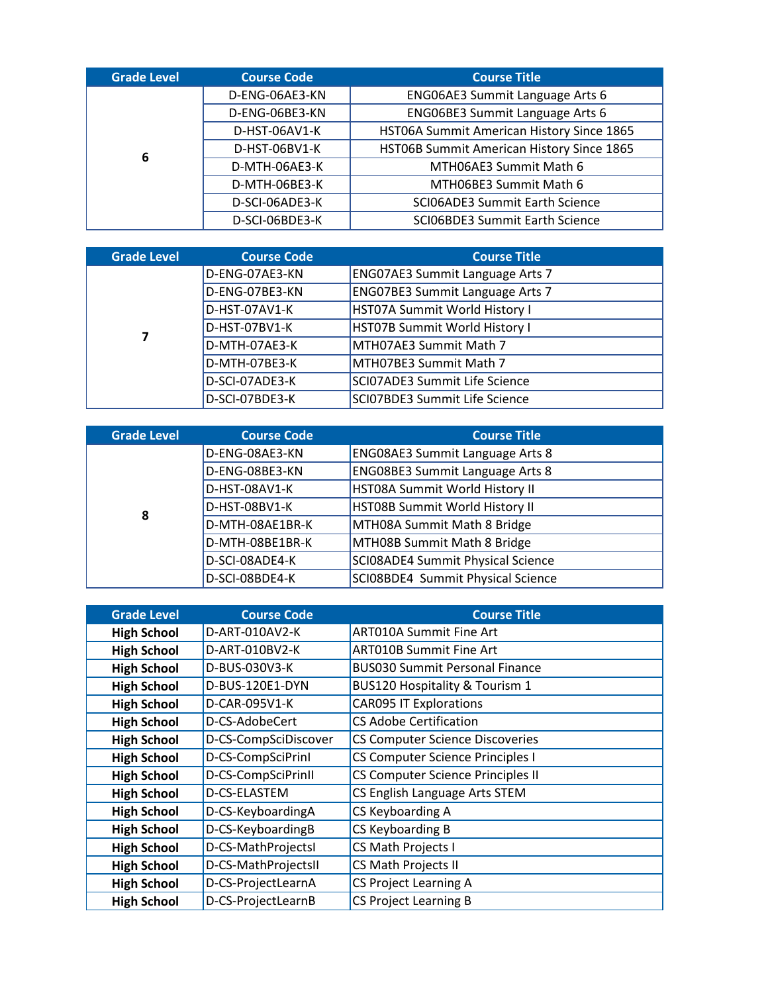| <b>Grade Level</b> | <b>Course Code</b> | <b>Course Title</b>                       |
|--------------------|--------------------|-------------------------------------------|
|                    | D-ENG-06AE3-KN     | ENG06AE3 Summit Language Arts 6           |
|                    | D-ENG-06BE3-KN     | ENG06BE3 Summit Language Arts 6           |
| 6                  | D-HST-06AV1-K      | HST06A Summit American History Since 1865 |
|                    | D-HST-06BV1-K      | HST06B Summit American History Since 1865 |
|                    | D-MTH-06AE3-K      | MTH06AE3 Summit Math 6                    |
|                    | D-MTH-06BE3-K      | MTH06BE3 Summit Math 6                    |
|                    | D-SCI-06ADE3-K     | SCI06ADE3 Summit Earth Science            |
|                    | D-SCI-06BDE3-K     | SCI06BDE3 Summit Earth Science            |

| <b>Grade Level</b> | <b>Course Code</b> | <b>Course Title</b>                    |
|--------------------|--------------------|----------------------------------------|
|                    | D-ENG-07AE3-KN     | <b>ENG07AE3 Summit Language Arts 7</b> |
|                    | D-ENG-07BE3-KN     | <b>ENG07BE3 Summit Language Arts 7</b> |
|                    | D-HST-07AV1-K      | HST07A Summit World History I          |
|                    | D-HST-07BV1-K      | HST07B Summit World History I          |
|                    | D-MTH-07AE3-K      | MTH07AE3 Summit Math 7                 |
|                    | D-MTH-07BE3-K      | MTH07BE3 Summit Math 7                 |
|                    | D-SCI-07ADE3-K     | SCI07ADE3 Summit Life Science          |
|                    | D-SCI-07BDE3-K     | SCI07BDE3 Summit Life Science          |

| <b>Grade Level</b> | <b>Course Code</b> | <b>Course Title</b>                    |
|--------------------|--------------------|----------------------------------------|
|                    | D-ENG-08AE3-KN     | <b>ENG08AE3 Summit Language Arts 8</b> |
|                    | D-ENG-08BE3-KN     | <b>ENG08BE3 Summit Language Arts 8</b> |
|                    | D-HST-08AV1-K      | HST08A Summit World History II         |
| 8                  | D-HST-08BV1-K      | HST08B Summit World History II         |
|                    | D-MTH-08AE1BR-K    | MTH08A Summit Math 8 Bridge            |
|                    | D-MTH-08BE1BR-K    | MTH08B Summit Math 8 Bridge            |
|                    | D-SCI-08ADE4-K     | SCI08ADE4 Summit Physical Science      |
|                    | D-SCI-08BDE4-K     | SCI08BDE4 Summit Physical Science      |

| <b>Grade Level</b> | <b>Course Code</b>   | <b>Course Title</b>                       |
|--------------------|----------------------|-------------------------------------------|
| <b>High School</b> | D-ART-010AV2-K       | <b>ART010A Summit Fine Art</b>            |
| <b>High School</b> | D-ART-010BV2-K       | ART010B Summit Fine Art                   |
| <b>High School</b> | D-BUS-030V3-K        | <b>BUS030 Summit Personal Finance</b>     |
| <b>High School</b> | D-BUS-120E1-DYN      | <b>BUS120 Hospitality &amp; Tourism 1</b> |
| <b>High School</b> | D-CAR-095V1-K        | <b>CAR095 IT Explorations</b>             |
| <b>High School</b> | D-CS-AdobeCert       | <b>CS Adobe Certification</b>             |
| <b>High School</b> | D-CS-CompSciDiscover | <b>CS Computer Science Discoveries</b>    |
| <b>High School</b> | D-CS-CompSciPrinl    | CS Computer Science Principles I          |
| <b>High School</b> | D-CS-CompSciPrinII   | CS Computer Science Principles II         |
| <b>High School</b> | D-CS-ELASTEM         | CS English Language Arts STEM             |
| <b>High School</b> | D-CS-KeyboardingA    | CS Keyboarding A                          |
| <b>High School</b> | D-CS-KeyboardingB    | CS Keyboarding B                          |
| <b>High School</b> | D-CS-MathProjectsI   | CS Math Projects I                        |
| <b>High School</b> | D-CS-MathProjectsII  | CS Math Projects II                       |
| <b>High School</b> | D-CS-ProjectLearnA   | <b>CS Project Learning A</b>              |
| <b>High School</b> | D-CS-ProjectLearnB   | <b>CS Project Learning B</b>              |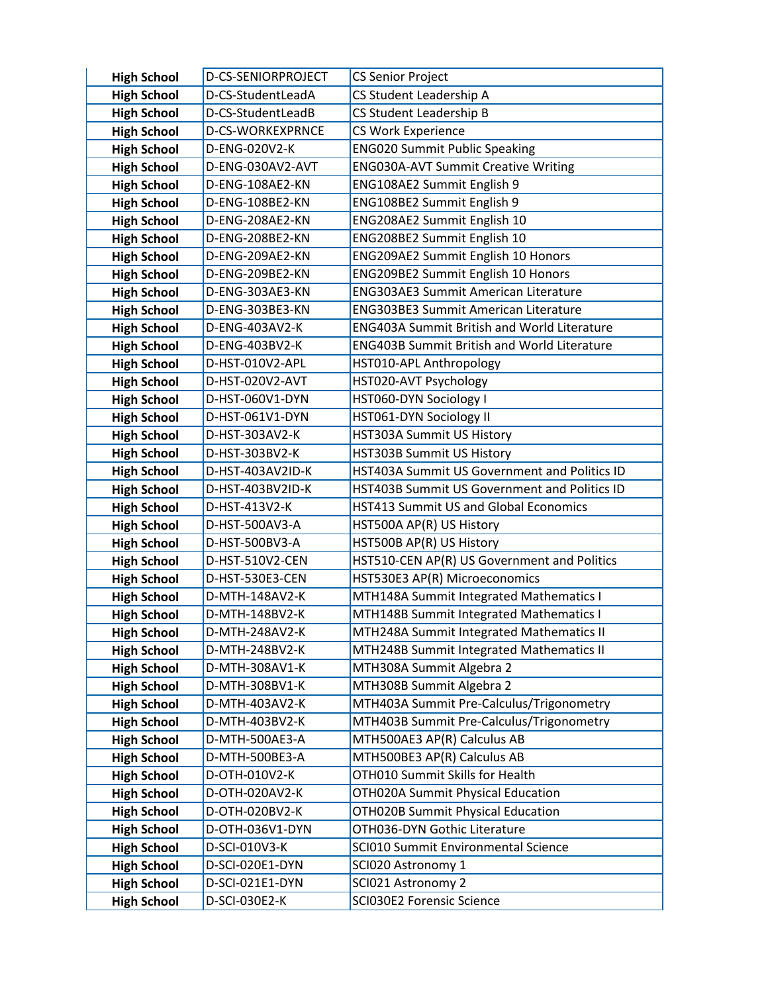| <b>High School</b>                       | D-CS-SENIORPROJECT               | <b>CS Senior Project</b>                                                             |
|------------------------------------------|----------------------------------|--------------------------------------------------------------------------------------|
| <b>High School</b>                       | D-CS-StudentLeadA                | CS Student Leadership A                                                              |
| <b>High School</b>                       | D-CS-StudentLeadB                | CS Student Leadership B                                                              |
| <b>High School</b>                       | D-CS-WORKEXPRNCE                 | CS Work Experience                                                                   |
| <b>High School</b>                       | D-ENG-020V2-K                    | <b>ENG020 Summit Public Speaking</b>                                                 |
| <b>High School</b>                       | D-ENG-030AV2-AVT                 | <b>ENG030A-AVT Summit Creative Writing</b>                                           |
| <b>High School</b>                       | D-ENG-108AE2-KN                  | ENG108AE2 Summit English 9                                                           |
| <b>High School</b>                       | D-ENG-108BE2-KN                  | ENG108BE2 Summit English 9                                                           |
| <b>High School</b>                       | D-ENG-208AE2-KN                  | ENG208AE2 Summit English 10                                                          |
| <b>High School</b>                       | D-ENG-208BE2-KN                  | ENG208BE2 Summit English 10                                                          |
| <b>High School</b>                       | D-ENG-209AE2-KN                  | <b>ENG209AE2 Summit English 10 Honors</b>                                            |
| <b>High School</b>                       | D-ENG-209BE2-KN                  | ENG209BE2 Summit English 10 Honors                                                   |
| <b>High School</b>                       | D-ENG-303AE3-KN                  | <b>ENG303AE3 Summit American Literature</b>                                          |
| <b>High School</b>                       | D-ENG-303BE3-KN                  | <b>ENG303BE3 Summit American Literature</b>                                          |
| <b>High School</b>                       | D-ENG-403AV2-K                   | <b>ENG403A Summit British and World Literature</b>                                   |
| <b>High School</b>                       | D-ENG-403BV2-K                   | <b>ENG403B Summit British and World Literature</b>                                   |
| <b>High School</b>                       | D-HST-010V2-APL                  | HST010-APL Anthropology                                                              |
| <b>High School</b>                       | D-HST-020V2-AVT                  | HST020-AVT Psychology                                                                |
| <b>High School</b>                       | D-HST-060V1-DYN                  | HST060-DYN Sociology I                                                               |
| <b>High School</b>                       | D-HST-061V1-DYN                  | HST061-DYN Sociology II                                                              |
| <b>High School</b>                       | D-HST-303AV2-K                   | HST303A Summit US History                                                            |
| <b>High School</b>                       | D-HST-303BV2-K                   | HST303B Summit US History                                                            |
| <b>High School</b>                       | D-HST-403AV2ID-K                 | HST403A Summit US Government and Politics ID                                         |
| <b>High School</b>                       | D-HST-403BV2ID-K                 | HST403B Summit US Government and Politics ID                                         |
| <b>High School</b>                       | D-HST-413V2-K                    | HST413 Summit US and Global Economics                                                |
| <b>High School</b>                       | D-HST-500AV3-A                   | HST500A AP(R) US History                                                             |
| <b>High School</b>                       | D-HST-500BV3-A                   | HST500B AP(R) US History                                                             |
| <b>High School</b>                       | D-HST-510V2-CEN                  | HST510-CEN AP(R) US Government and Politics                                          |
| <b>High School</b>                       | D-HST-530E3-CEN                  | HST530E3 AP(R) Microeconomics                                                        |
| <b>High School</b>                       | D-MTH-148AV2-K                   | MTH148A Summit Integrated Mathematics I                                              |
| <b>High School</b>                       | D-MTH-148BV2-K                   | MTH148B Summit Integrated Mathematics I                                              |
| <b>High School</b>                       | D-MTH-248AV2-K                   | MTH248A Summit Integrated Mathematics II<br>MTH248B Summit Integrated Mathematics II |
| <b>High School</b><br><b>High School</b> | D-MTH-248BV2-K<br>D-MTH-308AV1-K | MTH308A Summit Algebra 2                                                             |
| <b>High School</b>                       | D-MTH-308BV1-K                   | MTH308B Summit Algebra 2                                                             |
| <b>High School</b>                       | D-MTH-403AV2-K                   | MTH403A Summit Pre-Calculus/Trigonometry                                             |
| <b>High School</b>                       | D-MTH-403BV2-K                   | MTH403B Summit Pre-Calculus/Trigonometry                                             |
| <b>High School</b>                       | D-MTH-500AE3-A                   | MTH500AE3 AP(R) Calculus AB                                                          |
| <b>High School</b>                       | D-MTH-500BE3-A                   | MTH500BE3 AP(R) Calculus AB                                                          |
| <b>High School</b>                       | D-OTH-010V2-K                    | OTH010 Summit Skills for Health                                                      |
| <b>High School</b>                       | D-OTH-020AV2-K                   | OTH020A Summit Physical Education                                                    |
| <b>High School</b>                       | D-OTH-020BV2-K                   | OTH020B Summit Physical Education                                                    |
| <b>High School</b>                       | D-OTH-036V1-DYN                  | OTH036-DYN Gothic Literature                                                         |
| <b>High School</b>                       | D-SCI-010V3-K                    | SCI010 Summit Environmental Science                                                  |
| <b>High School</b>                       | D-SCI-020E1-DYN                  | SCI020 Astronomy 1                                                                   |
| <b>High School</b>                       | D-SCI-021E1-DYN                  | SCI021 Astronomy 2                                                                   |
| <b>High School</b>                       | D-SCI-030E2-K                    | SCI030E2 Forensic Science                                                            |
|                                          |                                  |                                                                                      |